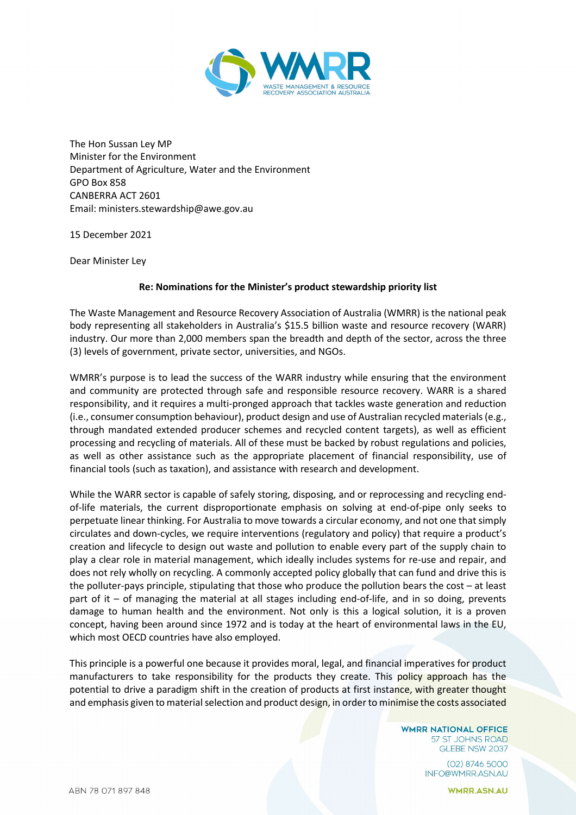

The Hon Sussan Ley MP Minister for the Environment Department of Agriculture, Water and the Environment GPO Box 858 CANBERRA ACT 2601 Email: ministers.stewardship@awe.gov.au

15 December 2021

Dear Minister Ley

## **Re: Nominations for the Minister's product stewardship priority list**

The Waste Management and Resource Recovery Association of Australia (WMRR) is the national peak body representing all stakeholders in Australia's \$15.5 billion waste and resource recovery (WARR) industry. Our more than 2,000 members span the breadth and depth of the sector, across the three (3) levels of government, private sector, universities, and NGOs.

WMRR's purpose is to lead the success of the WARR industry while ensuring that the environment and community are protected through safe and responsible resource recovery. WARR is a shared responsibility, and it requires a multi-pronged approach that tackles waste generation and reduction (i.e., consumer consumption behaviour), product design and use of Australian recycled materials (e.g., through mandated extended producer schemes and recycled content targets), as well as efficient processing and recycling of materials. All of these must be backed by robust regulations and policies, as well as other assistance such as the appropriate placement of financial responsibility, use of financial tools (such as taxation), and assistance with research and development.

While the WARR sector is capable of safely storing, disposing, and or reprocessing and recycling endof-life materials, the current disproportionate emphasis on solving at end-of-pipe only seeks to perpetuate linear thinking. For Australia to move towards a circular economy, and not one that simply circulates and down-cycles, we require interventions (regulatory and policy) that require a product's creation and lifecycle to design out waste and pollution to enable every part of the supply chain to play a clear role in material management, which ideally includes systems for re-use and repair, and does not rely wholly on recycling. A commonly accepted policy globally that can fund and drive this is the polluter-pays principle, stipulating that those who produce the pollution bears the cost – at least part of it – of managing the material at all stages including end-of-life, and in so doing, prevents damage to human health and the environment. Not only is this a logical solution, it is a proven concept, having been around since 1972 and is today at the heart of environmental laws in the EU, which most OECD countries have also employed.

This principle is a powerful one because it provides moral, legal, and financial imperatives for product manufacturers to take responsibility for the products they create. This policy approach has the potential to drive a paradigm shift in the creation of products at first instance, with greater thought and emphasis given to material selection and product design, in order to minimise the costs associated

> **WMRR NATIONAL OFFICE** 57 ST JOHNS ROAD GLEBE NSW 2037

> > $(02)$  8746 5000 INFO@WMRR.ASN.AU

> > > **WMRR.ASN.AU**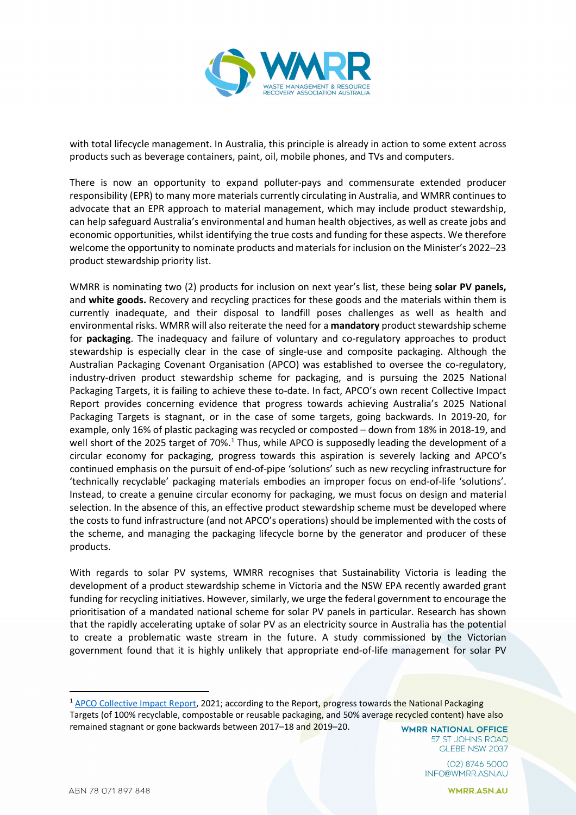

with total lifecycle management. In Australia, this principle is already in action to some extent across products such as beverage containers, paint, oil, mobile phones, and TVs and computers.

There is now an opportunity to expand polluter-pays and commensurate extended producer responsibility (EPR) to many more materials currently circulating in Australia, and WMRR continues to advocate that an EPR approach to material management, which may include product stewardship, can help safeguard Australia's environmental and human health objectives, as well as create jobs and economic opportunities, whilst identifying the true costs and funding for these aspects. We therefore welcome the opportunity to nominate products and materials for inclusion on the Minister's 2022–23 product stewardship priority list.

WMRR is nominating two (2) products for inclusion on next year's list, these being **solar PV panels,**  and **white goods.** Recovery and recycling practices for these goods and the materials within them is currently inadequate, and their disposal to landfill poses challenges as well as health and environmental risks. WMRR will also reiterate the need for a **mandatory** product stewardship scheme for **packaging**. The inadequacy and failure of voluntary and co-regulatory approaches to product stewardship is especially clear in the case of single-use and composite packaging. Although the Australian Packaging Covenant Organisation (APCO) was established to oversee the co-regulatory, industry-driven product stewardship scheme for packaging, and is pursuing the 2025 National Packaging Targets, it is failing to achieve these to-date. In fact, APCO's own recent Collective Impact Report provides concerning evidence that progress towards achieving Australia's 2025 National Packaging Targets is stagnant, or in the case of some targets, going backwards. In 2019-20, for example, only 16% of plastic packaging was recycled or composted – down from 18% in 2018-19, and well short of the 2025 target of 70%.<sup>[1](#page-1-0)</sup> Thus, while APCO is supposedly leading the development of a circular economy for packaging, progress towards this aspiration is severely lacking and APCO's continued emphasis on the pursuit of end-of-pipe 'solutions' such as new recycling infrastructure for 'technically recyclable' packaging materials embodies an improper focus on end-of-life 'solutions'. Instead, to create a genuine circular economy for packaging, we must focus on design and material selection. In the absence of this, an effective product stewardship scheme must be developed where the costs to fund infrastructure (and not APCO's operations) should be implemented with the costs of the scheme, and managing the packaging lifecycle borne by the generator and producer of these products.

With regards to solar PV systems, WMRR recognises that Sustainability Victoria is leading the development of a product stewardship scheme in Victoria and the NSW EPA recently awarded grant funding for recycling initiatives. However, similarly, we urge the federal government to encourage the prioritisation of a mandated national scheme for solar PV panels in particular. Research has shown that the rapidly accelerating uptake of solar PV as an electricity source in Australia has the potential to create a problematic waste stream in the future. A study commissioned by the Victorian government found that it is highly unlikely that appropriate end-of-life management for solar PV

57 ST JOHNS ROAD GLEBE NSW 2037

> (02) 8746 5000 INFO@WMRR.ASN.AU

> > **WMRR.ASN.AU**

<span id="page-1-0"></span><sup>&</sup>lt;sup>1</sup> [APCO Collective Impact Report,](https://documents.packagingcovenant.org.au/public-documents/APCO%20Collective%20Impact%20Report) 2021; according to the Report, progress towards the National Packaging Targets (of 100% recyclable, compostable or reusable packaging, and 50% average recycled content) have also remained stagnant or gone backwards between 2017–18 and 2019–20. **WMRR NATIONAL OFFICE**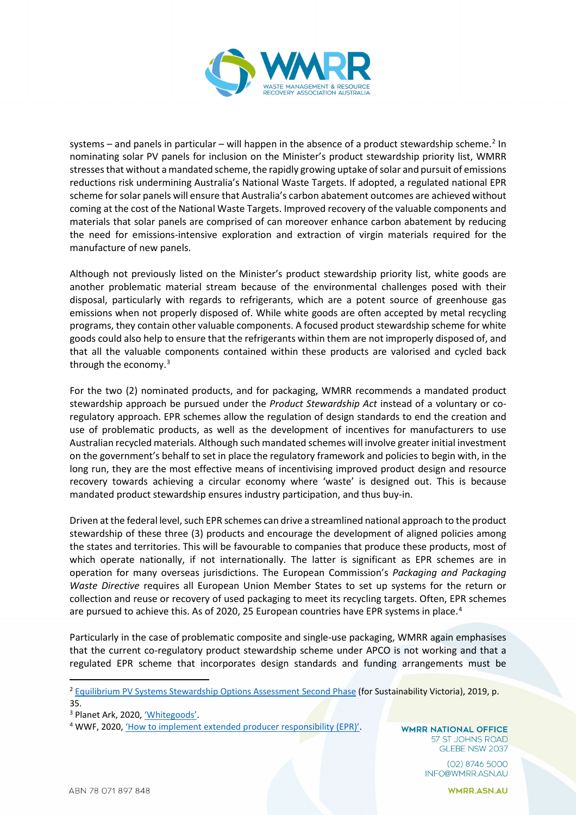

systems – and panels in particular – will happen in the absence of a product stewardship scheme.<sup>[2](#page-2-0)</sup> In nominating solar PV panels for inclusion on the Minister's product stewardship priority list, WMRR stresses that without a mandated scheme, the rapidly growing uptake of solar and pursuit of emissions reductions risk undermining Australia's National Waste Targets. If adopted, a regulated national EPR scheme for solar panels will ensure that Australia's carbon abatement outcomes are achieved without coming at the cost of the National Waste Targets. Improved recovery of the valuable components and materials that solar panels are comprised of can moreover enhance carbon abatement by reducing the need for emissions-intensive exploration and extraction of virgin materials required for the manufacture of new panels.

Although not previously listed on the Minister's product stewardship priority list, white goods are another problematic material stream because of the environmental challenges posed with their disposal, particularly with regards to refrigerants, which are a potent source of greenhouse gas emissions when not properly disposed of. While white goods are often accepted by metal recycling programs, they contain other valuable components. A focused product stewardship scheme for white goods could also help to ensure that the refrigerants within them are not improperly disposed of, and that all the valuable components contained within these products are valorised and cycled back through the economy. [3](#page-2-1)

For the two (2) nominated products, and for packaging, WMRR recommends a mandated product stewardship approach be pursued under the *Product Stewardship Act* instead of a voluntary or coregulatory approach. EPR schemes allow the regulation of design standards to end the creation and use of problematic products, as well as the development of incentives for manufacturers to use Australian recycled materials. Although such mandated schemes will involve greater initial investment on the government's behalf to set in place the regulatory framework and policies to begin with, in the long run, they are the most effective means of incentivising improved product design and resource recovery towards achieving a circular economy where 'waste' is designed out. This is because mandated product stewardship ensures industry participation, and thus buy-in.

Driven at the federal level, such EPR schemes can drive a streamlined national approach to the product stewardship of these three (3) products and encourage the development of aligned policies among the states and territories. This will be favourable to companies that produce these products, most of which operate nationally, if not internationally. The latter is significant as EPR schemes are in operation for many overseas jurisdictions. The European Commission's *Packaging and Packaging Waste Directive* requires all European Union Member States to set up systems for the return or collection and reuse or recovery of used packaging to meet its recycling targets. Often, EPR schemes are pursued to achieve this. As of 2020, 25 European countries have EPR systems in place.<sup>[4](#page-2-2)</sup>

Particularly in the case of problematic composite and single-use packaging, WMRR again emphasises that the current co-regulatory product stewardship scheme under APCO is not working and that a regulated EPR scheme that incorporates design standards and funding arrangements must be

**WMRR NATIONAL OFFICE** 57 ST JOHNS ROAD GLEBE NSW 2037

> (02) 8746 5000 INFO@WMRR.ASN.AU

<span id="page-2-0"></span><sup>&</sup>lt;sup>2</sup> [Equilibrium PV Systems Stewardship Options Assessment Second Phase](https://assets.sustainability.vic.gov.au/susvic/Report-PV-Panels-PV-Systems-Stewardship-Options-Assessment-Second-Phase-Stage-Eight%E2%80%93Final.pdf) (for Sustainability Victoria), 2019, p. 35.

<span id="page-2-1"></span><sup>3</sup> Planet Ark, 2020, ['Whitegoods'.](https://recyclingnearyou.com.au/whitegoods/)

<span id="page-2-2"></span><sup>&</sup>lt;sup>4</sup> WWF, 2020[, 'How to implement extended producer responsibility \(EPR\)'.](https://wwfint.awsassets.panda.org/downloads/how_to_implement_epr___briefing_for_government_and_business.pdf)